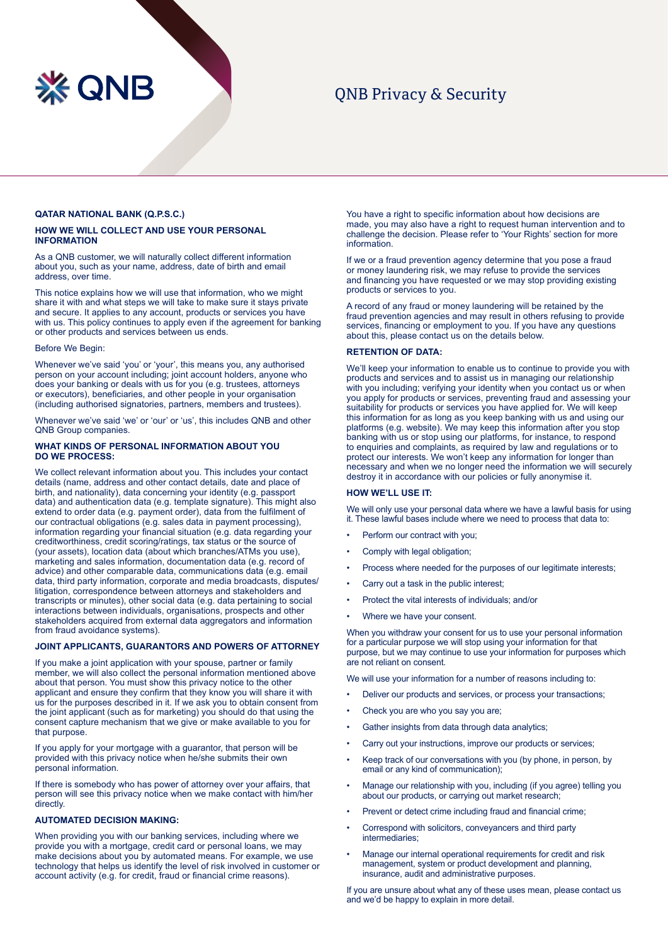

# QNB Privacy & Security

# **QATAR NATIONAL BANK (Q.P.S.C.)**

# **HOW WE WILL COLLECT AND USE YOUR PERSONAL INFORMATION**

As a QNB customer, we will naturally collect different information about you, such as your name, address, date of birth and email address, over time.

This notice explains how we will use that information, who we might share it with and what steps we will take to make sure it stays private and secure. It applies to any account, products or services you have with us. This policy continues to apply even if the agreement for banking or other products and services between us ends.

#### Before We Begin:

Whenever we've said 'you' or 'your', this means you, any authorised person on your account including; joint account holders, anyone who does your banking or deals with us for you (e.g. trustees, attorneys or executors), beneficiaries, and other people in your organisation (including authorised signatories, partners, members and trustees).

Whenever we've said 'we' or 'our' or 'us', this includes QNB and other QNB Group companies.

## **WHAT KINDS OF PERSONAL INFORMATION ABOUT YOU DO WE PROCESS:**

We collect relevant information about you. This includes your contact details (name, address and other contact details, date and place of birth, and nationality), data concerning your identity (e.g. passport data) and authentication data (e.g. template signature). This might also extend to order data (e.g. payment order), data from the fulfilment of our contractual obligations (e.g. sales data in payment processing), information regarding your financial situation (e.g. data regarding your creditworthiness, credit scoring/ratings, tax status or the source of (your assets), location data (about which branches/ATMs you use), marketing and sales information, documentation data (e.g. record of advice) and other comparable data, communications data (e.g. email data, third party information, corporate and media broadcasts, disputes/ litigation, correspondence between attorneys and stakeholders and transcripts or minutes), other social data (e.g. data pertaining to social interactions between individuals, organisations, prospects and other stakeholders acquired from external data aggregators and information from fraud avoidance systems).

# **JOINT APPLICANTS, GUARANTORS AND POWERS OF ATTORNEY**

If you make a joint application with your spouse, partner or family member, we will also collect the personal information mentioned above about that person. You must show this privacy notice to the other applicant and ensure they confirm that they know you will share it with us for the purposes described in it. If we ask you to obtain consent from the joint applicant (such as for marketing) you should do that using the consent capture mechanism that we give or make available to you for that purpose.

If you apply for your mortgage with a guarantor, that person will be provided with this privacy notice when he/she submits their own personal information.

If there is somebody who has power of attorney over your affairs, that person will see this privacy notice when we make contact with him/her directly.

# **AUTOMATED DECISION MAKING:**

When providing you with our banking services, including where we provide you with a mortgage, credit card or personal loans, we may make decisions about you by automated means. For example, we use technology that helps us identify the level of risk involved in customer or account activity (e.g. for credit, fraud or financial crime reasons).

You have a right to specific information about how decisions are made, you may also have a right to request human intervention and to challenge the decision. Please refer to 'Your Rights' section for more information.

If we or a fraud prevention agency determine that you pose a fraud or money laundering risk, we may refuse to provide the services and financing you have requested or we may stop providing existing products or services to you.

A record of any fraud or money laundering will be retained by the fraud prevention agencies and may result in others refusing to provide services, financing or employment to you. If you have any questions about this, please contact us on the details below.

## **RETENTION OF DATA:**

We'll keep your information to enable us to continue to provide you with products and services and to assist us in managing our relationship with you including; verifying your identity when you contact us or when you apply for products or services, preventing fraud and assessing your suitability for products or services you have applied for. We will keep this information for as long as you keep banking with us and using our platforms (e.g. website). We may keep this information after you stop banking with us or stop using our platforms, for instance, to respond to enquiries and complaints, as required by law and regulations or to protect our interests. We won't keep any information for longer than necessary and when we no longer need the information we will securely destroy it in accordance with our policies or fully anonymise it.

#### **HOW WE'LL USE IT:**

We will only use your personal data where we have a lawful basis for using it. These lawful bases include where we need to process that data to:

- Perform our contract with you:
- Comply with legal obligation;
- Process where needed for the purposes of our legitimate interests;
- Carry out a task in the public interest;
- Protect the vital interests of individuals; and/or
- Where we have your consent.

When you withdraw your consent for us to use your personal information for a particular purpose we will stop using your information for that purpose, but we may continue to use your information for purposes which are not reliant on consent.

We will use your information for a number of reasons including to:

- Deliver our products and services, or process your transactions;
- Check you are who you say you are;
- Gather insights from data through data analytics;
- Carry out your instructions, improve our products or services:
- Keep track of our conversations with you (by phone, in person, by email or any kind of communication);
- Manage our relationship with you, including (if you agree) telling you about our products, or carrying out market research;
- Prevent or detect crime including fraud and financial crime;
- Correspond with solicitors, conveyancers and third party intermediaries;
- Manage our internal operational requirements for credit and risk management, system or product development and planning, insurance, audit and administrative purposes.

If you are unsure about what any of these uses mean, please contact us and we'd be happy to explain in more detail.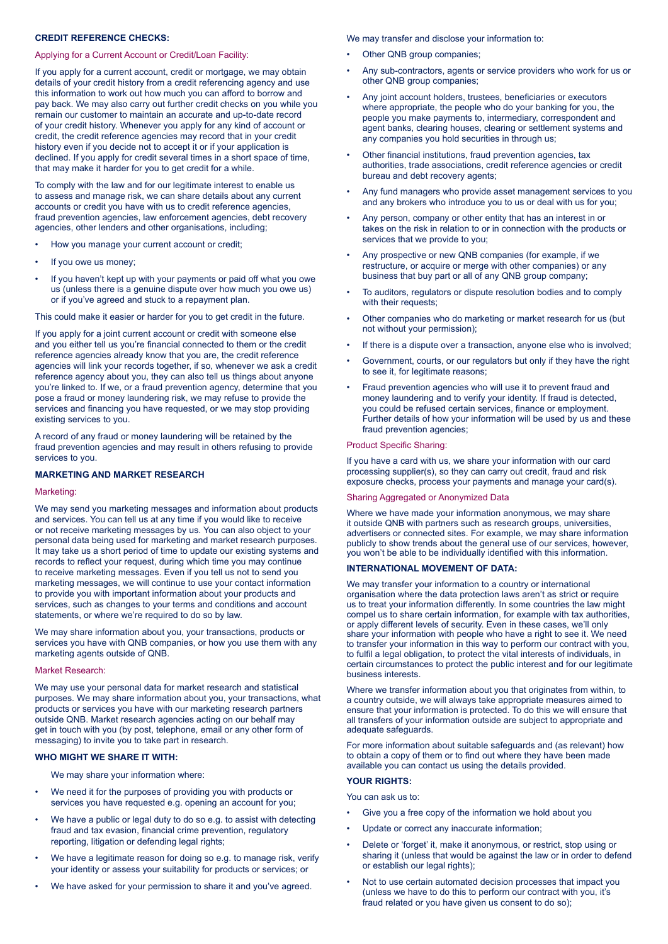# **CREDIT REFERENCE CHECKS:**

#### Applying for a Current Account or Credit/Loan Facility:

If you apply for a current account, credit or mortgage, we may obtain details of your credit history from a credit referencing agency and use this information to work out how much you can afford to borrow and pay back. We may also carry out further credit checks on you while you remain our customer to maintain an accurate and up-to-date record of your credit history. Whenever you apply for any kind of account or credit, the credit reference agencies may record that in your credit history even if you decide not to accept it or if your application is declined. If you apply for credit several times in a short space of time, that may make it harder for you to get credit for a while.

To comply with the law and for our legitimate interest to enable us to assess and manage risk, we can share details about any current accounts or credit you have with us to credit reference agencies, fraud prevention agencies, law enforcement agencies, debt recovery agencies, other lenders and other organisations, including;

- How you manage your current account or credit;
- If you owe us money;
- If you haven't kept up with your payments or paid off what you owe us (unless there is a genuine dispute over how much you owe us) or if you've agreed and stuck to a repayment plan.

This could make it easier or harder for you to get credit in the future.

If you apply for a joint current account or credit with someone else and you either tell us you're financial connected to them or the credit reference agencies already know that you are, the credit reference agencies will link your records together, if so, whenever we ask a credit reference agency about you, they can also tell us things about anyone you're linked to. If we, or a fraud prevention agency, determine that you pose a fraud or money laundering risk, we may refuse to provide the services and financing you have requested, or we may stop providing existing services to you.

A record of any fraud or money laundering will be retained by the fraud prevention agencies and may result in others refusing to provide services to you.

# **MARKETING AND MARKET RESEARCH**

#### Marketing:

We may send you marketing messages and information about products and services. You can tell us at any time if you would like to receive or not receive marketing messages by us. You can also object to your personal data being used for marketing and market research purposes. It may take us a short period of time to update our existing systems and records to reflect your request, during which time you may continue to receive marketing messages. Even if you tell us not to send you marketing messages, we will continue to use your contact information to provide you with important information about your products and services, such as changes to your terms and conditions and account statements, or where we're required to do so by law.

We may share information about you, your transactions, products or services you have with QNB companies, or how you use them with any marketing agents outside of QNB.

#### Market Research:

We may use your personal data for market research and statistical purposes. We may share information about you, your transactions, what products or services you have with our marketing research partners outside QNB. Market research agencies acting on our behalf may get in touch with you (by post, telephone, email or any other form of messaging) to invite you to take part in research.

#### **WHO MIGHT WE SHARE IT WITH:**

We may share your information where:

- We need it for the purposes of providing you with products or services you have requested e.g. opening an account for you;
- We have a public or legal duty to do so e.g. to assist with detecting fraud and tax evasion, financial crime prevention, regulatory reporting, litigation or defending legal rights;
- We have a legitimate reason for doing so e.g. to manage risk, verify your identity or assess your suitability for products or services; or
- We have asked for your permission to share it and you've agreed.

We may transfer and disclose your information to:

- Other QNB group companies;
- Any sub-contractors, agents or service providers who work for us or other QNB group companies;
- Any joint account holders, trustees, beneficiaries or executors where appropriate, the people who do your banking for you, the people you make payments to, intermediary, correspondent and agent banks, clearing houses, clearing or settlement systems and any companies you hold securities in through us;
- Other financial institutions, fraud prevention agencies, tax authorities, trade associations, credit reference agencies or credit bureau and debt recovery agents;
- Any fund managers who provide asset management services to you and any brokers who introduce you to us or deal with us for you;
- Any person, company or other entity that has an interest in or takes on the risk in relation to or in connection with the products or services that we provide to you;
- Any prospective or new QNB companies (for example, if we restructure, or acquire or merge with other companies) or any business that buy part or all of any QNB group company;
- To auditors, regulators or dispute resolution bodies and to comply with their requests:
- Other companies who do marketing or market research for us (but not without your permission);
- If there is a dispute over a transaction, anyone else who is involved;
- Government, courts, or our regulators but only if they have the right to see it, for legitimate reasons;
- Fraud prevention agencies who will use it to prevent fraud and money laundering and to verify your identity. If fraud is detected, you could be refused certain services, finance or employment. Further details of how your information will be used by us and these fraud prevention agencies;

#### Product Specific Sharing:

If you have a card with us, we share your information with our card processing supplier(s), so they can carry out credit, fraud and risk exposure checks, process your payments and manage your card(s).

## Sharing Aggregated or Anonymized Data

Where we have made your information anonymous, we may share it outside QNB with partners such as research groups, universities, advertisers or connected sites. For example, we may share information publicly to show trends about the general use of our services, however, you won't be able to be individually identified with this information.

## **INTERNATIONAL MOVEMENT OF DATA:**

We may transfer your information to a country or international organisation where the data protection laws aren't as strict or require us to treat your information differently. In some countries the law might compel us to share certain information, for example with tax authorities, or apply different levels of security. Even in these cases, we'll only share your information with people who have a right to see it. We need to transfer your information in this way to perform our contract with you, to fulfil a legal obligation, to protect the vital interests of individuals, in certain circumstances to protect the public interest and for our legitimate business interests.

Where we transfer information about you that originates from within, to a country outside, we will always take appropriate measures aimed to ensure that your information is protected. To do this we will ensure that all transfers of your information outside are subject to appropriate and adequate safeguards.

For more information about suitable safeguards and (as relevant) how to obtain a copy of them or to find out where they have been made available you can contact us using the details provided.

## **YOUR RIGHTS:**

You can ask us to:

- Give you a free copy of the information we hold about you
- Update or correct any inaccurate information;
- Delete or 'forget' it, make it anonymous, or restrict, stop using or sharing it (unless that would be against the law or in order to defend or establish our legal rights);
- Not to use certain automated decision processes that impact you (unless we have to do this to perform our contract with you, it's fraud related or you have given us consent to do so);